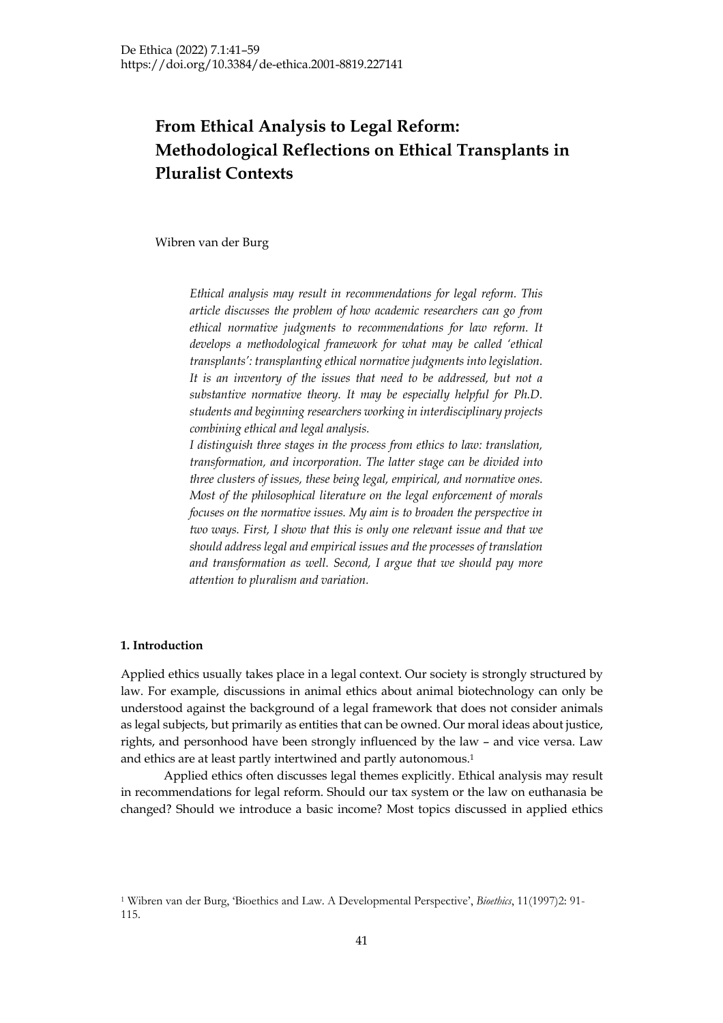# **From Ethical Analysis to Legal Reform: Methodological Reflections on Ethical Transplants in Pluralist Contexts**

Wibren van der Burg

*Ethical analysis may result in recommendations for legal reform. This article discusses the problem of how academic researchers can go from ethical normative judgments to recommendations for law reform. It develops a methodological framework for what may be called 'ethical transplants': transplanting ethical normative judgments into legislation. It is an inventory of the issues that need to be addressed, but not a substantive normative theory. It may be especially helpful for Ph.D. students and beginning researchers working in interdisciplinary projects combining ethical and legal analysis.*

*I distinguish three stages in the process from ethics to law: translation, transformation, and incorporation. The latter stage can be divided into three clusters of issues, these being legal, empirical, and normative ones. Most of the philosophical literature on the legal enforcement of morals focuses on the normative issues. My aim is to broaden the perspective in two ways. First, I show that this is only one relevant issue and that we should address legal and empirical issues and the processes of translation and transformation as well. Second, I argue that we should pay more attention to pluralism and variation.*

# **1. Introduction**

Applied ethics usually takes place in a legal context. Our society is strongly structured by law. For example, discussions in animal ethics about animal biotechnology can only be understood against the background of a legal framework that does not consider animals as legal subjects, but primarily as entities that can be owned. Our moral ideas about justice, rights, and personhood have been strongly influenced by the law – and vice versa. Law and ethics are at least partly intertwined and partly autonomous.1

Applied ethics often discusses legal themes explicitly. Ethical analysis may result in recommendations for legal reform. Should our tax system or the law on euthanasia be changed? Should we introduce a basic income? Most topics discussed in applied ethics

<sup>1</sup> Wibren van der Burg, 'Bioethics and Law. A Developmental Perspective', *Bioethics*, 11(1997)2: 91- 115.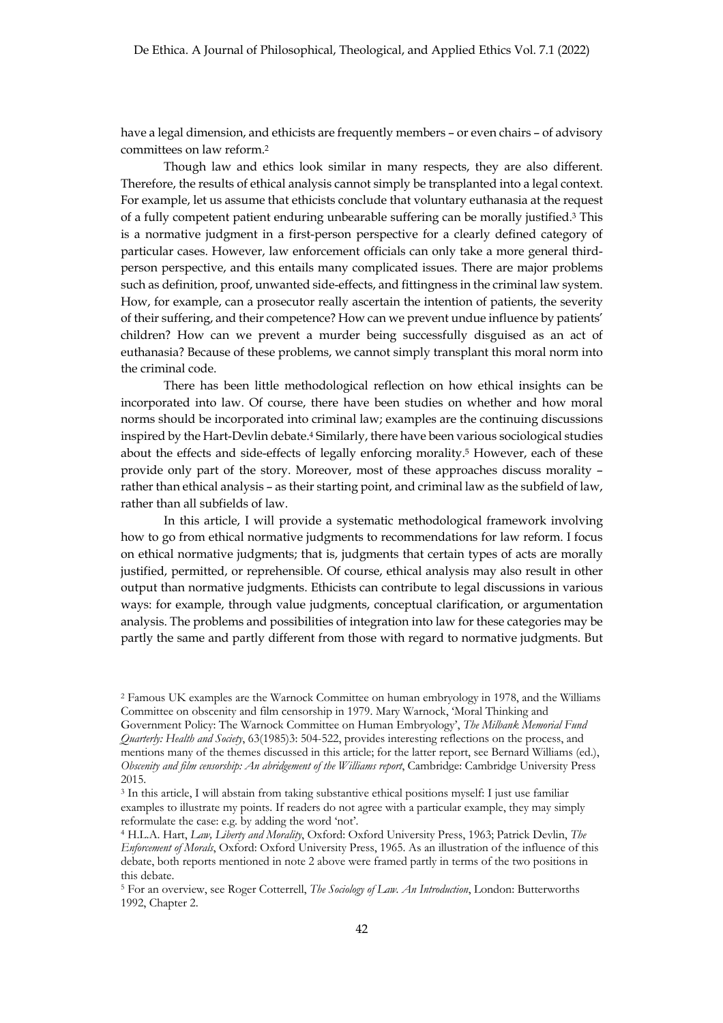have a legal dimension, and ethicists are frequently members – or even chairs – of advisory committees on law reform.2

Though law and ethics look similar in many respects, they are also different. Therefore, the results of ethical analysis cannot simply be transplanted into a legal context. For example, let us assume that ethicists conclude that voluntary euthanasia at the request of a fully competent patient enduring unbearable suffering can be morally justified.3 This is a normative judgment in a first-person perspective for a clearly defined category of particular cases. However, law enforcement officials can only take a more general thirdperson perspective, and this entails many complicated issues. There are major problems such as definition, proof, unwanted side-effects, and fittingness in the criminal law system. How, for example, can a prosecutor really ascertain the intention of patients, the severity of their suffering, and their competence? How can we prevent undue influence by patients' children? How can we prevent a murder being successfully disguised as an act of euthanasia? Because of these problems, we cannot simply transplant this moral norm into the criminal code.

There has been little methodological reflection on how ethical insights can be incorporated into law. Of course, there have been studies on whether and how moral norms should be incorporated into criminal law; examples are the continuing discussions inspired by the Hart-Devlin debate.4 Similarly, there have been various sociological studies about the effects and side-effects of legally enforcing morality.5 However, each of these provide only part of the story. Moreover, most of these approaches discuss morality – rather than ethical analysis – as their starting point, and criminal law as the subfield of law, rather than all subfields of law.

In this article, I will provide a systematic methodological framework involving how to go from ethical normative judgments to recommendations for law reform. I focus on ethical normative judgments; that is, judgments that certain types of acts are morally justified, permitted, or reprehensible. Of course, ethical analysis may also result in other output than normative judgments. Ethicists can contribute to legal discussions in various ways: for example, through value judgments, conceptual clarification, or argumentation analysis. The problems and possibilities of integration into law for these categories may be partly the same and partly different from those with regard to normative judgments. But

<sup>2</sup> Famous UK examples are the Warnock Committee on human embryology in 1978, and the Williams Committee on obscenity and film censorship in 1979. Mary Warnock, 'Moral Thinking and

Government Policy: The Warnock Committee on Human Embryology', *The Milbank Memorial Fund Quarterly: Health and Society*, 63(1985)3: 504-522, provides interesting reflections on the process, and mentions many of the themes discussed in this article; for the latter report, see Bernard Williams (ed.), *Obscenity and film censorship: An abridgement of the Williams report*, Cambridge: Cambridge University Press 2015.

<sup>3</sup> In this article, I will abstain from taking substantive ethical positions myself: I just use familiar examples to illustrate my points. If readers do not agree with a particular example, they may simply reformulate the case: e.g. by adding the word 'not'.

<sup>4</sup> H.L.A. Hart, *Law, Liberty and Morality*, Oxford: Oxford University Press, 1963; Patrick Devlin, *The Enforcement of Morals*, Oxford: Oxford University Press, 1965. As an illustration of the influence of this debate, both reports mentioned in note 2 above were framed partly in terms of the two positions in this debate.

<sup>5</sup> For an overview, see Roger Cotterrell, *The Sociology of Law. An Introduction*, London: Butterworths 1992, Chapter 2.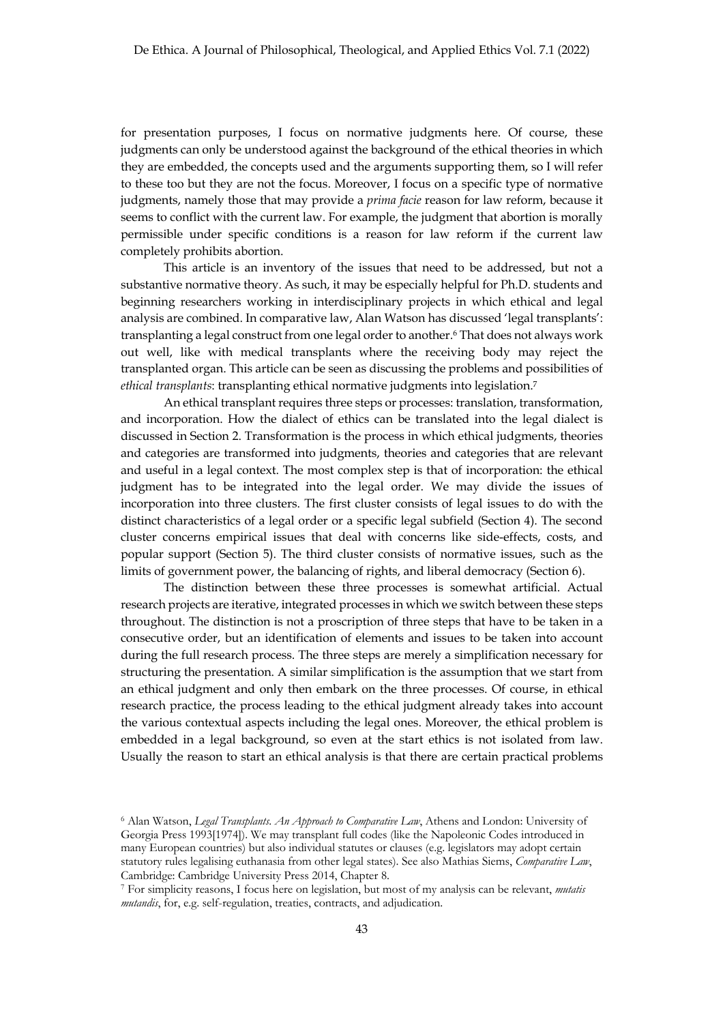for presentation purposes, I focus on normative judgments here. Of course, these judgments can only be understood against the background of the ethical theories in which they are embedded, the concepts used and the arguments supporting them, so I will refer to these too but they are not the focus. Moreover, I focus on a specific type of normative judgments, namely those that may provide a *prima facie* reason for law reform, because it seems to conflict with the current law. For example, the judgment that abortion is morally permissible under specific conditions is a reason for law reform if the current law completely prohibits abortion.

This article is an inventory of the issues that need to be addressed, but not a substantive normative theory. As such, it may be especially helpful for Ph.D. students and beginning researchers working in interdisciplinary projects in which ethical and legal analysis are combined. In comparative law, Alan Watson has discussed 'legal transplants': transplanting a legal construct from one legal order to another.6 That does not always work out well, like with medical transplants where the receiving body may reject the transplanted organ. This article can be seen as discussing the problems and possibilities of *ethical transplants*: transplanting ethical normative judgments into legislation.7

An ethical transplant requires three steps or processes: translation, transformation, and incorporation. How the dialect of ethics can be translated into the legal dialect is discussed in Section 2. Transformation is the process in which ethical judgments, theories and categories are transformed into judgments, theories and categories that are relevant and useful in a legal context. The most complex step is that of incorporation: the ethical judgment has to be integrated into the legal order. We may divide the issues of incorporation into three clusters. The first cluster consists of legal issues to do with the distinct characteristics of a legal order or a specific legal subfield (Section 4). The second cluster concerns empirical issues that deal with concerns like side-effects, costs, and popular support (Section 5). The third cluster consists of normative issues, such as the limits of government power, the balancing of rights, and liberal democracy (Section 6).

The distinction between these three processes is somewhat artificial. Actual research projects are iterative, integrated processes in which we switch between these steps throughout. The distinction is not a proscription of three steps that have to be taken in a consecutive order, but an identification of elements and issues to be taken into account during the full research process. The three steps are merely a simplification necessary for structuring the presentation. A similar simplification is the assumption that we start from an ethical judgment and only then embark on the three processes. Of course, in ethical research practice, the process leading to the ethical judgment already takes into account the various contextual aspects including the legal ones. Moreover, the ethical problem is embedded in a legal background, so even at the start ethics is not isolated from law. Usually the reason to start an ethical analysis is that there are certain practical problems

<sup>6</sup> Alan Watson, *Legal Transplants. An Approach to Comparative Law*, Athens and London: University of Georgia Press 1993[1974]). We may transplant full codes (like the Napoleonic Codes introduced in many European countries) but also individual statutes or clauses (e.g. legislators may adopt certain statutory rules legalising euthanasia from other legal states). See also Mathias Siems, *Comparative Law*, Cambridge: Cambridge University Press 2014, Chapter 8.

<sup>7</sup> For simplicity reasons, I focus here on legislation, but most of my analysis can be relevant, *mutatis mutandis*, for, e.g. self-regulation, treaties, contracts, and adjudication.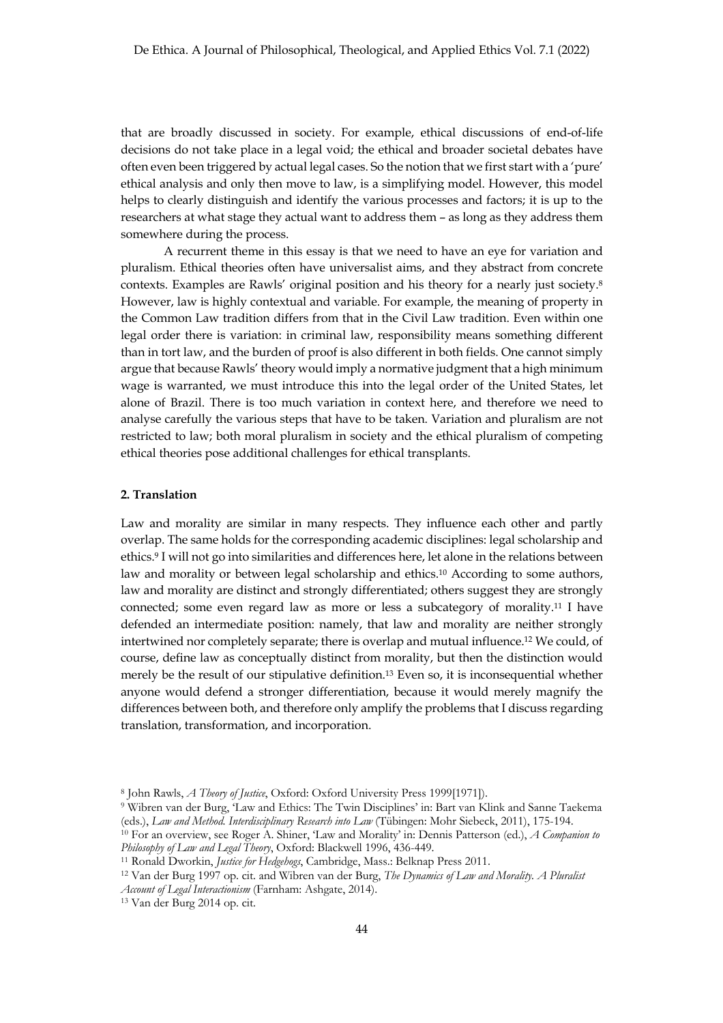that are broadly discussed in society. For example, ethical discussions of end-of-life decisions do not take place in a legal void; the ethical and broader societal debates have often even been triggered by actual legal cases. So the notion that we first start with a 'pure' ethical analysis and only then move to law, is a simplifying model. However, this model helps to clearly distinguish and identify the various processes and factors; it is up to the researchers at what stage they actual want to address them – as long as they address them somewhere during the process.

A recurrent theme in this essay is that we need to have an eye for variation and pluralism. Ethical theories often have universalist aims, and they abstract from concrete contexts. Examples are Rawls' original position and his theory for a nearly just society.8 However, law is highly contextual and variable. For example, the meaning of property in the Common Law tradition differs from that in the Civil Law tradition. Even within one legal order there is variation: in criminal law, responsibility means something different than in tort law, and the burden of proof is also different in both fields. One cannot simply argue that because Rawls' theory would imply a normative judgment that a high minimum wage is warranted, we must introduce this into the legal order of the United States, let alone of Brazil. There is too much variation in context here, and therefore we need to analyse carefully the various steps that have to be taken. Variation and pluralism are not restricted to law; both moral pluralism in society and the ethical pluralism of competing ethical theories pose additional challenges for ethical transplants.

### **2. Translation**

Law and morality are similar in many respects. They influence each other and partly overlap. The same holds for the corresponding academic disciplines: legal scholarship and ethics.9 I will not go into similarities and differences here, let alone in the relations between law and morality or between legal scholarship and ethics.10 According to some authors, law and morality are distinct and strongly differentiated; others suggest they are strongly connected; some even regard law as more or less a subcategory of morality.11 I have defended an intermediate position: namely, that law and morality are neither strongly intertwined nor completely separate; there is overlap and mutual influence.12 We could, of course, define law as conceptually distinct from morality, but then the distinction would merely be the result of our stipulative definition.13 Even so, it is inconsequential whether anyone would defend a stronger differentiation, because it would merely magnify the differences between both, and therefore only amplify the problems that I discuss regarding translation, transformation, and incorporation.

<sup>8</sup> John Rawls, *A Theory of Justice*, Oxford: Oxford University Press 1999[1971]).

<sup>9</sup> Wibren van der Burg, 'Law and Ethics: The Twin Disciplines' in: Bart van Klink and Sanne Taekema (eds.), *Law and Method. Interdisciplinary Research into Law* (Tübingen: Mohr Siebeck, 2011), 175-194.

<sup>10</sup> For an overview, see Roger A. Shiner, 'Law and Morality' in: Dennis Patterson (ed.), *A Companion to Philosophy of Law and Legal Theory*, Oxford: Blackwell 1996, 436-449.

<sup>11</sup> Ronald Dworkin, *Justice for Hedgehogs*, Cambridge, Mass.: Belknap Press 2011.

<sup>12</sup> Van der Burg 1997 op. cit. and Wibren van der Burg, *The Dynamics of Law and Morality. A Pluralist* 

*Account of Legal Interactionism* (Farnham: Ashgate, 2014).

<sup>13</sup> Van der Burg 2014 op. cit.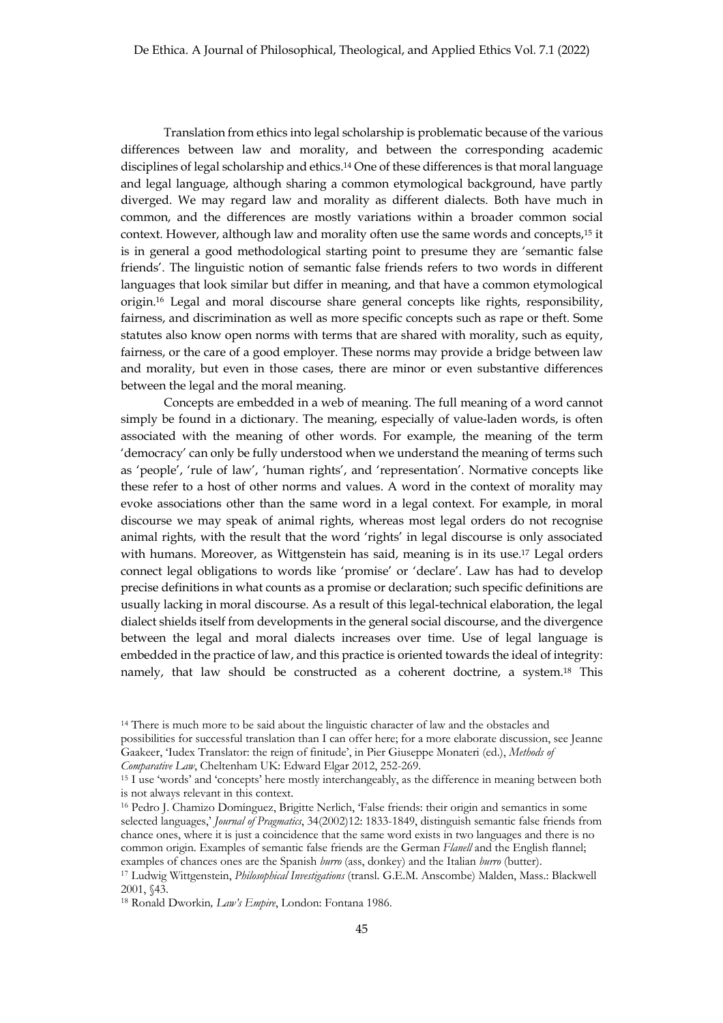Translation from ethics into legal scholarship is problematic because of the various differences between law and morality, and between the corresponding academic disciplines of legal scholarship and ethics.14 One of these differences is that moral language and legal language, although sharing a common etymological background, have partly diverged. We may regard law and morality as different dialects. Both have much in common, and the differences are mostly variations within a broader common social context. However, although law and morality often use the same words and concepts,15 it is in general a good methodological starting point to presume they are 'semantic false friends'. The linguistic notion of semantic false friends refers to two words in different languages that look similar but differ in meaning, and that have a common etymological origin.16 Legal and moral discourse share general concepts like rights, responsibility, fairness, and discrimination as well as more specific concepts such as rape or theft. Some statutes also know open norms with terms that are shared with morality, such as equity, fairness, or the care of a good employer. These norms may provide a bridge between law and morality, but even in those cases, there are minor or even substantive differences between the legal and the moral meaning.

Concepts are embedded in a web of meaning. The full meaning of a word cannot simply be found in a dictionary. The meaning, especially of value-laden words, is often associated with the meaning of other words. For example, the meaning of the term 'democracy' can only be fully understood when we understand the meaning of terms such as 'people', 'rule of law', 'human rights', and 'representation'. Normative concepts like these refer to a host of other norms and values. A word in the context of morality may evoke associations other than the same word in a legal context. For example, in moral discourse we may speak of animal rights, whereas most legal orders do not recognise animal rights, with the result that the word 'rights' in legal discourse is only associated with humans. Moreover, as Wittgenstein has said, meaning is in its use.<sup>17</sup> Legal orders connect legal obligations to words like 'promise' or 'declare'. Law has had to develop precise definitions in what counts as a promise or declaration; such specific definitions are usually lacking in moral discourse. As a result of this legal-technical elaboration, the legal dialect shields itself from developments in the general social discourse, and the divergence between the legal and moral dialects increases over time. Use of legal language is embedded in the practice of law, and this practice is oriented towards the ideal of integrity: namely, that law should be constructed as a coherent doctrine, a system.18 This

<sup>&</sup>lt;sup>14</sup> There is much more to be said about the linguistic character of law and the obstacles and possibilities for successful translation than I can offer here; for a more elaborate discussion, see Jeanne Gaakeer, 'Iudex Translator: the reign of finitude', in Pier Giuseppe Monateri (ed.), *Methods of* 

*Comparative Law*, Cheltenham UK: Edward Elgar 2012, 252-269.<br><sup>15</sup> I use 'words' and 'concepts' here mostly interchangeably, as the difference in meaning between both is not always relevant in this context.

<sup>16</sup> Pedro J. Chamizo Domı́nguez, Brigitte Nerlich, 'False friends: their origin and semantics in some selected languages,' *Journal of Pragmatics*, 34(2002)12: 1833-1849, distinguish semantic false friends from chance ones, where it is just a coincidence that the same word exists in two languages and there is no common origin. Examples of semantic false friends are the German *Flanell* and the English flannel; examples of chances ones are the Spanish *burro* (ass, donkey) and the Italian *burro* (butter).

<sup>17</sup> Ludwig Wittgenstein, *Philosophical Investigations* (transl. G.E.M. Anscombe) Malden, Mass.: Blackwell 2001, §43.

<sup>18</sup> Ronald Dworkin*, Law's Empire*, London: Fontana 1986.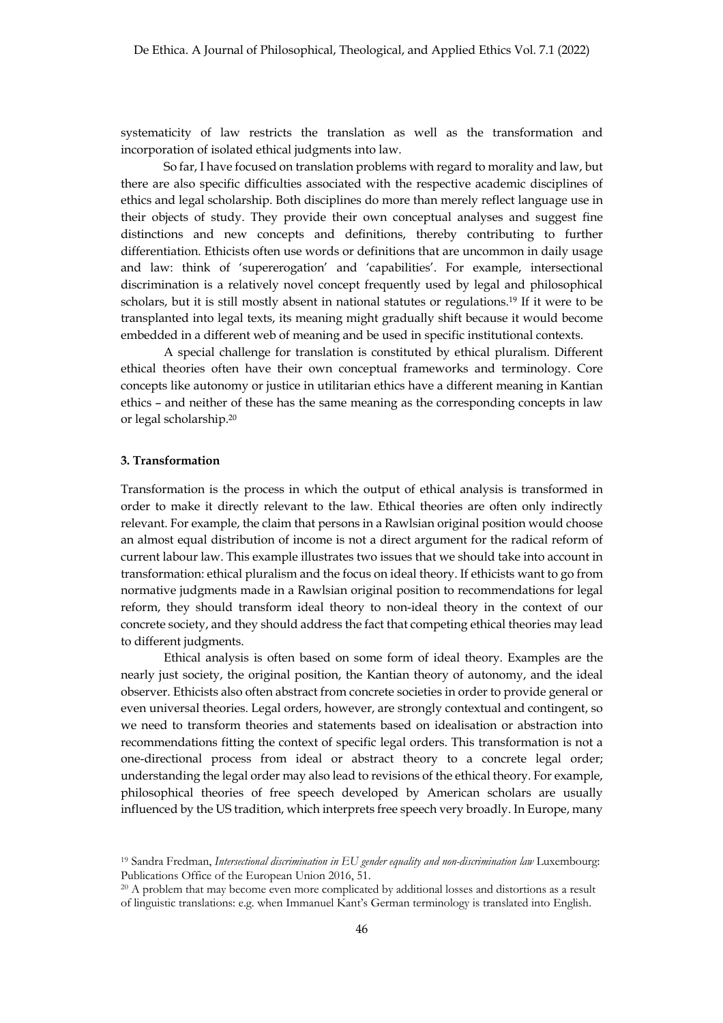systematicity of law restricts the translation as well as the transformation and incorporation of isolated ethical judgments into law.

So far, I have focused on translation problems with regard to morality and law, but there are also specific difficulties associated with the respective academic disciplines of ethics and legal scholarship. Both disciplines do more than merely reflect language use in their objects of study. They provide their own conceptual analyses and suggest fine distinctions and new concepts and definitions, thereby contributing to further differentiation. Ethicists often use words or definitions that are uncommon in daily usage and law: think of 'supererogation' and 'capabilities'. For example, intersectional discrimination is a relatively novel concept frequently used by legal and philosophical scholars, but it is still mostly absent in national statutes or regulations.19 If it were to be transplanted into legal texts, its meaning might gradually shift because it would become embedded in a different web of meaning and be used in specific institutional contexts.

A special challenge for translation is constituted by ethical pluralism. Different ethical theories often have their own conceptual frameworks and terminology. Core concepts like autonomy or justice in utilitarian ethics have a different meaning in Kantian ethics – and neither of these has the same meaning as the corresponding concepts in law or legal scholarship.20

# **3. Transformation**

Transformation is the process in which the output of ethical analysis is transformed in order to make it directly relevant to the law. Ethical theories are often only indirectly relevant. For example, the claim that persons in a Rawlsian original position would choose an almost equal distribution of income is not a direct argument for the radical reform of current labour law. This example illustrates two issues that we should take into account in transformation: ethical pluralism and the focus on ideal theory. If ethicists want to go from normative judgments made in a Rawlsian original position to recommendations for legal reform, they should transform ideal theory to non-ideal theory in the context of our concrete society, and they should address the fact that competing ethical theories may lead to different judgments.

Ethical analysis is often based on some form of ideal theory. Examples are the nearly just society, the original position, the Kantian theory of autonomy, and the ideal observer. Ethicists also often abstract from concrete societies in order to provide general or even universal theories. Legal orders, however, are strongly contextual and contingent, so we need to transform theories and statements based on idealisation or abstraction into recommendations fitting the context of specific legal orders. This transformation is not a one-directional process from ideal or abstract theory to a concrete legal order; understanding the legal order may also lead to revisions of the ethical theory. For example, philosophical theories of free speech developed by American scholars are usually influenced by the US tradition, which interprets free speech very broadly. In Europe, many

<sup>19</sup> Sandra Fredman, *Intersectional discrimination in EU gender equality and non-discrimination law* Luxembourg: Publications Office of the European Union 2016, 51.

<sup>&</sup>lt;sup>20</sup> A problem that may become even more complicated by additional losses and distortions as a result of linguistic translations: e.g. when Immanuel Kant's German terminology is translated into English.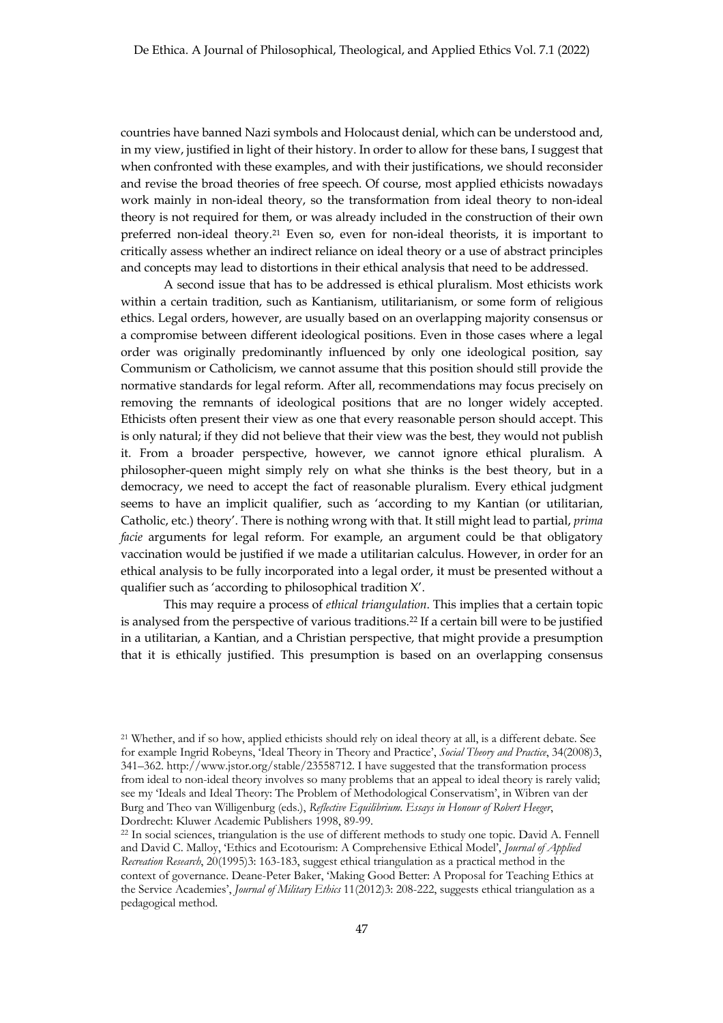countries have banned Nazi symbols and Holocaust denial, which can be understood and, in my view, justified in light of their history. In order to allow for these bans, I suggest that when confronted with these examples, and with their justifications, we should reconsider and revise the broad theories of free speech. Of course, most applied ethicists nowadays work mainly in non-ideal theory, so the transformation from ideal theory to non-ideal theory is not required for them, or was already included in the construction of their own preferred non-ideal theory.21 Even so, even for non-ideal theorists, it is important to critically assess whether an indirect reliance on ideal theory or a use of abstract principles and concepts may lead to distortions in their ethical analysis that need to be addressed.

A second issue that has to be addressed is ethical pluralism. Most ethicists work within a certain tradition, such as Kantianism, utilitarianism, or some form of religious ethics. Legal orders, however, are usually based on an overlapping majority consensus or a compromise between different ideological positions. Even in those cases where a legal order was originally predominantly influenced by only one ideological position, say Communism or Catholicism, we cannot assume that this position should still provide the normative standards for legal reform. After all, recommendations may focus precisely on removing the remnants of ideological positions that are no longer widely accepted. Ethicists often present their view as one that every reasonable person should accept. This is only natural; if they did not believe that their view was the best, they would not publish it. From a broader perspective, however, we cannot ignore ethical pluralism. A philosopher-queen might simply rely on what she thinks is the best theory, but in a democracy, we need to accept the fact of reasonable pluralism. Every ethical judgment seems to have an implicit qualifier, such as 'according to my Kantian (or utilitarian, Catholic, etc.) theory'. There is nothing wrong with that. It still might lead to partial, *prima facie* arguments for legal reform. For example, an argument could be that obligatory vaccination would be justified if we made a utilitarian calculus. However, in order for an ethical analysis to be fully incorporated into a legal order, it must be presented without a qualifier such as 'according to philosophical tradition X'.

This may require a process of *ethical triangulation*. This implies that a certain topic is analysed from the perspective of various traditions.22 If a certain bill were to be justified in a utilitarian, a Kantian, and a Christian perspective, that might provide a presumption that it is ethically justified. This presumption is based on an overlapping consensus

<sup>21</sup> Whether, and if so how, applied ethicists should rely on ideal theory at all, is a different debate. See for example Ingrid Robeyns, 'Ideal Theory in Theory and Practice', *Social Theory and Practice*, 34(2008)3, 341–362. http://www.jstor.org/stable/23558712. I have suggested that the transformation process from ideal to non-ideal theory involves so many problems that an appeal to ideal theory is rarely valid; see my 'Ideals and Ideal Theory: The Problem of Methodological Conservatism', in Wibren van der Burg and Theo van Willigenburg (eds.), *Reflective Equilibrium. Essays in Honour of Robert Heeger*, Dordrecht: Kluwer Academic Publishers 1998, 89-99.

<sup>&</sup>lt;sup>22</sup> In social sciences, triangulation is the use of different methods to study one topic. David A. Fennell and David C. Malloy, 'Ethics and Ecotourism: A Comprehensive Ethical Model', *Journal of Applied Recreation Research*, 20(1995)3: 163-183, suggest ethical triangulation as a practical method in the context of governance. Deane-Peter Baker, 'Making Good Better: A Proposal for Teaching Ethics at the Service Academies', *Journal of Military Ethics* 11(2012)3: 208-222, suggests ethical triangulation as a pedagogical method.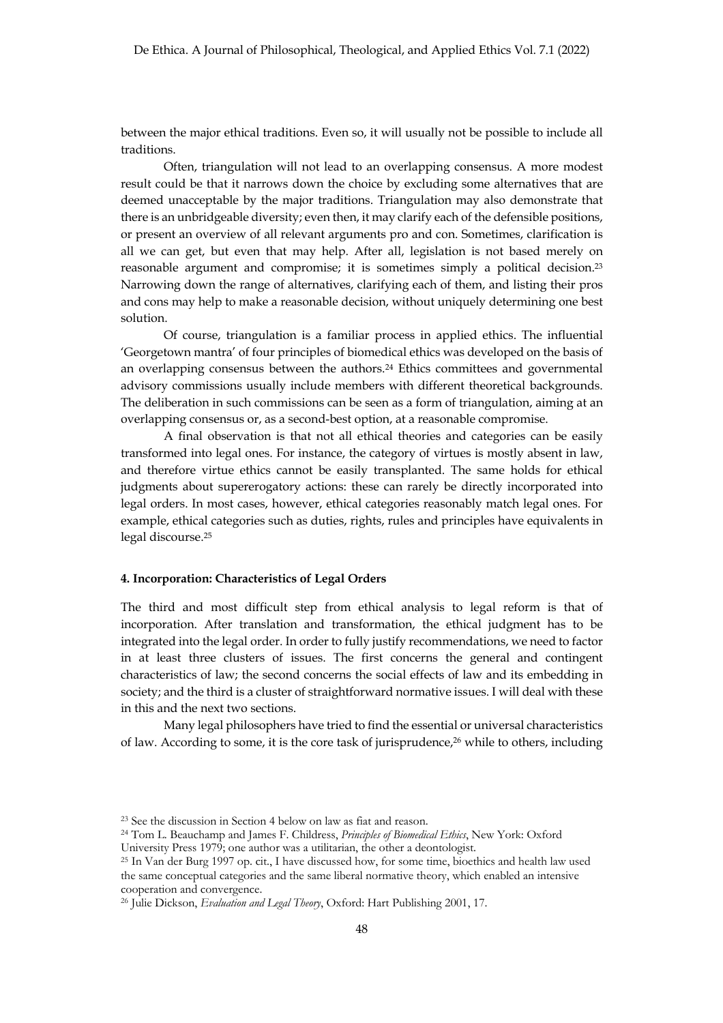between the major ethical traditions. Even so, it will usually not be possible to include all traditions.

Often, triangulation will not lead to an overlapping consensus. A more modest result could be that it narrows down the choice by excluding some alternatives that are deemed unacceptable by the major traditions. Triangulation may also demonstrate that there is an unbridgeable diversity; even then, it may clarify each of the defensible positions, or present an overview of all relevant arguments pro and con. Sometimes, clarification is all we can get, but even that may help. After all, legislation is not based merely on reasonable argument and compromise; it is sometimes simply a political decision.23 Narrowing down the range of alternatives, clarifying each of them, and listing their pros and cons may help to make a reasonable decision, without uniquely determining one best solution.

Of course, triangulation is a familiar process in applied ethics. The influential 'Georgetown mantra' of four principles of biomedical ethics was developed on the basis of an overlapping consensus between the authors.24 Ethics committees and governmental advisory commissions usually include members with different theoretical backgrounds. The deliberation in such commissions can be seen as a form of triangulation, aiming at an overlapping consensus or, as a second-best option, at a reasonable compromise.

A final observation is that not all ethical theories and categories can be easily transformed into legal ones. For instance, the category of virtues is mostly absent in law, and therefore virtue ethics cannot be easily transplanted. The same holds for ethical judgments about supererogatory actions: these can rarely be directly incorporated into legal orders. In most cases, however, ethical categories reasonably match legal ones. For example, ethical categories such as duties, rights, rules and principles have equivalents in legal discourse.25

# **4. Incorporation: Characteristics of Legal Orders**

The third and most difficult step from ethical analysis to legal reform is that of incorporation. After translation and transformation, the ethical judgment has to be integrated into the legal order. In order to fully justify recommendations, we need to factor in at least three clusters of issues. The first concerns the general and contingent characteristics of law; the second concerns the social effects of law and its embedding in society; and the third is a cluster of straightforward normative issues. I will deal with these in this and the next two sections.

Many legal philosophers have tried to find the essential or universal characteristics of law. According to some, it is the core task of jurisprudence,26 while to others, including

<sup>23</sup> See the discussion in Section 4 below on law as fiat and reason.

<sup>24</sup> Tom L. Beauchamp and James F. Childress, *Principles of Biomedical Ethics*, New York: Oxford University Press 1979; one author was a utilitarian, the other a deontologist.

<sup>25</sup> In Van der Burg 1997 op. cit., I have discussed how, for some time, bioethics and health law used the same conceptual categories and the same liberal normative theory, which enabled an intensive cooperation and convergence.

<sup>26</sup> Julie Dickson, *Evaluation and Legal Theory*, Oxford: Hart Publishing 2001, 17.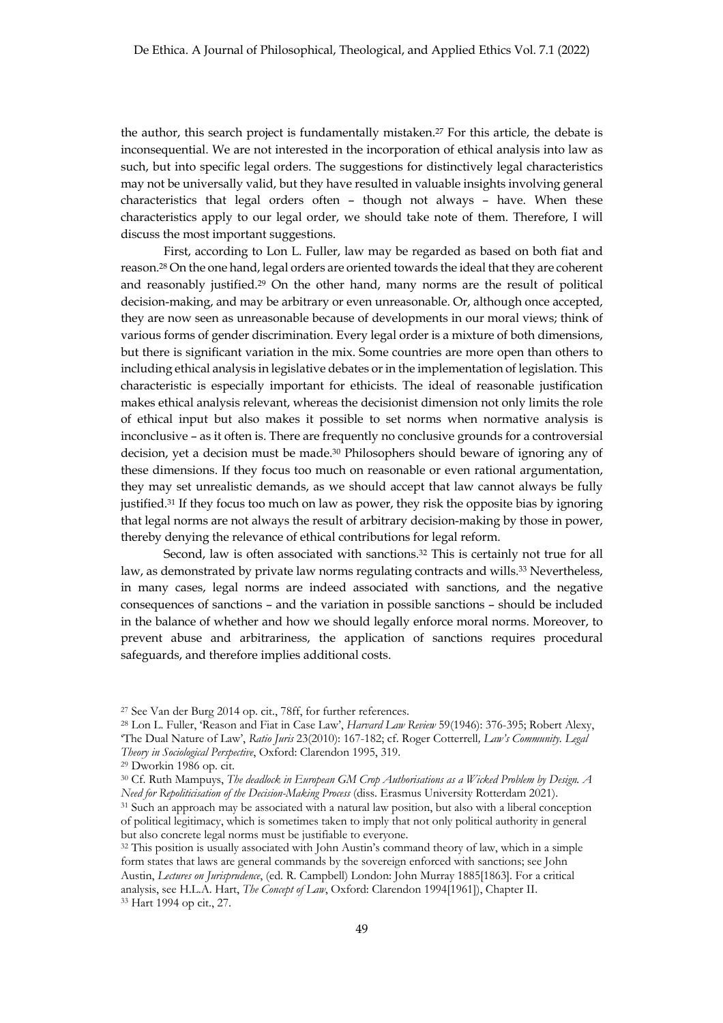the author, this search project is fundamentally mistaken.27 For this article, the debate is inconsequential. We are not interested in the incorporation of ethical analysis into law as such, but into specific legal orders. The suggestions for distinctively legal characteristics may not be universally valid, but they have resulted in valuable insights involving general characteristics that legal orders often – though not always – have. When these characteristics apply to our legal order, we should take note of them. Therefore, I will discuss the most important suggestions.

First, according to Lon L. Fuller, law may be regarded as based on both fiat and reason.28 On the one hand, legal orders are oriented towards the ideal that they are coherent and reasonably justified.29 On the other hand, many norms are the result of political decision-making, and may be arbitrary or even unreasonable. Or, although once accepted, they are now seen as unreasonable because of developments in our moral views; think of various forms of gender discrimination. Every legal order is a mixture of both dimensions, but there is significant variation in the mix. Some countries are more open than others to including ethical analysis in legislative debates or in the implementation of legislation. This characteristic is especially important for ethicists. The ideal of reasonable justification makes ethical analysis relevant, whereas the decisionist dimension not only limits the role of ethical input but also makes it possible to set norms when normative analysis is inconclusive – as it often is. There are frequently no conclusive grounds for a controversial decision, yet a decision must be made.30 Philosophers should beware of ignoring any of these dimensions. If they focus too much on reasonable or even rational argumentation, they may set unrealistic demands, as we should accept that law cannot always be fully justified.31 If they focus too much on law as power, they risk the opposite bias by ignoring that legal norms are not always the result of arbitrary decision-making by those in power, thereby denying the relevance of ethical contributions for legal reform.

Second, law is often associated with sanctions.<sup>32</sup> This is certainly not true for all law, as demonstrated by private law norms regulating contracts and wills.33 Nevertheless, in many cases, legal norms are indeed associated with sanctions, and the negative consequences of sanctions – and the variation in possible sanctions – should be included in the balance of whether and how we should legally enforce moral norms. Moreover, to prevent abuse and arbitrariness, the application of sanctions requires procedural safeguards, and therefore implies additional costs.

<sup>27</sup> See Van der Burg 2014 op. cit., 78ff, for further references.

<sup>28</sup> Lon L. Fuller, 'Reason and Fiat in Case Law', *Harvard Law Review* 59(1946): 376-395; Robert Alexy, 'The Dual Nature of Law', *Ratio Juris* 23(2010): 167-182; cf. Roger Cotterrell*, Law's Community. Legal Theory in Sociological Perspective*, Oxford: Clarendon 1995, 319.

<sup>29</sup> Dworkin 1986 op. cit.

<sup>30</sup> Cf. Ruth Mampuys, *The deadlock in European GM Crop Authorisations as a Wicked Problem by Design. A Need for Repoliticisation of the Decision-Making Process* (diss. Erasmus University Rotterdam 2021). <sup>31</sup> Such an approach may be associated with a natural law position, but also with a liberal conception of political legitimacy, which is sometimes taken to imply that not only political authority in general

but also concrete legal norms must be justifiable to everyone. <sup>32</sup> This position is usually associated with John Austin's command theory of law, which in a simple form states that laws are general commands by the sovereign enforced with sanctions; see John Austin, *Lectures on Jurisprudence*, (ed. R. Campbell) London: John Murray 1885[1863]. For a critical analysis, see H.L.A. Hart, *The Concept of Law*, Oxford: Clarendon 1994[1961]), Chapter II. <sup>33</sup> Hart 1994 op cit., 27.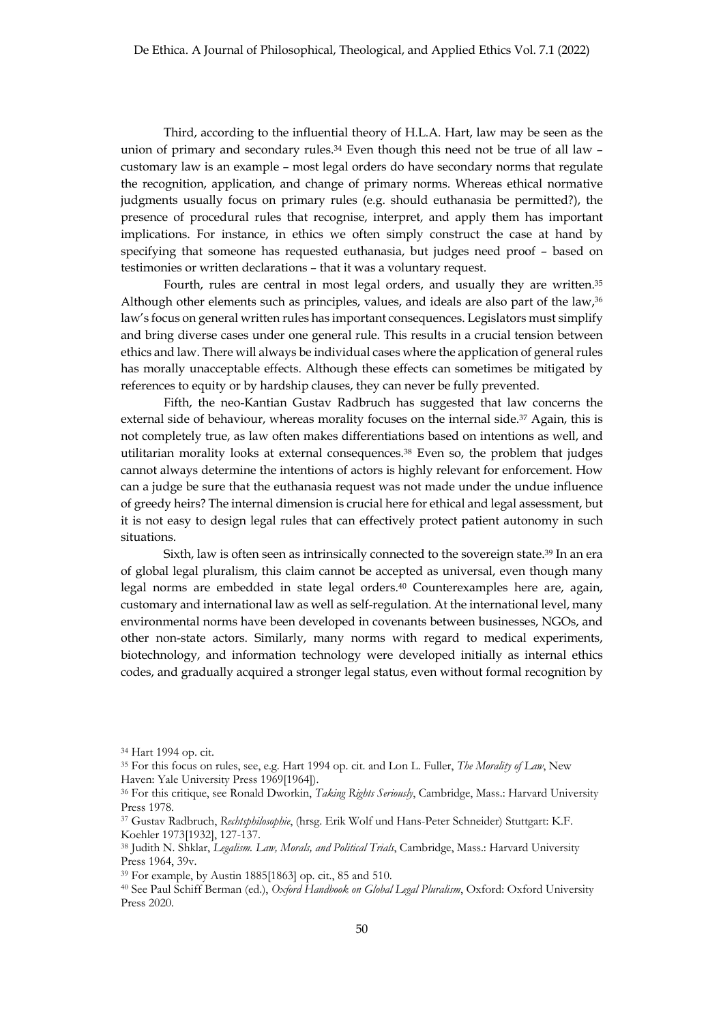Third, according to the influential theory of H.L.A. Hart, law may be seen as the union of primary and secondary rules.<sup>34</sup> Even though this need not be true of all law – customary law is an example – most legal orders do have secondary norms that regulate the recognition, application, and change of primary norms. Whereas ethical normative judgments usually focus on primary rules (e.g. should euthanasia be permitted?), the presence of procedural rules that recognise, interpret, and apply them has important implications. For instance, in ethics we often simply construct the case at hand by specifying that someone has requested euthanasia, but judges need proof – based on testimonies or written declarations – that it was a voluntary request.

Fourth, rules are central in most legal orders, and usually they are written.<sup>35</sup> Although other elements such as principles, values, and ideals are also part of the law,<sup>36</sup> law's focus on general written rules has important consequences. Legislators must simplify and bring diverse cases under one general rule. This results in a crucial tension between ethics and law. There will always be individual cases where the application of general rules has morally unacceptable effects. Although these effects can sometimes be mitigated by references to equity or by hardship clauses, they can never be fully prevented.

Fifth, the neo-Kantian Gustav Radbruch has suggested that law concerns the external side of behaviour, whereas morality focuses on the internal side.<sup>37</sup> Again, this is not completely true, as law often makes differentiations based on intentions as well, and utilitarian morality looks at external consequences.38 Even so, the problem that judges cannot always determine the intentions of actors is highly relevant for enforcement. How can a judge be sure that the euthanasia request was not made under the undue influence of greedy heirs? The internal dimension is crucial here for ethical and legal assessment, but it is not easy to design legal rules that can effectively protect patient autonomy in such situations.

Sixth, law is often seen as intrinsically connected to the sovereign state.39 In an era of global legal pluralism, this claim cannot be accepted as universal, even though many legal norms are embedded in state legal orders.40 Counterexamples here are, again, customary and international law as well as self-regulation. At the international level, many environmental norms have been developed in covenants between businesses, NGOs, and other non-state actors. Similarly, many norms with regard to medical experiments, biotechnology, and information technology were developed initially as internal ethics codes, and gradually acquired a stronger legal status, even without formal recognition by

<sup>34</sup> Hart 1994 op. cit.

<sup>35</sup> For this focus on rules, see, e.g. Hart 1994 op. cit. and Lon L. Fuller, *The Morality of Law*, New Haven: Yale University Press 1969[1964]).

<sup>36</sup> For this critique, see Ronald Dworkin, *Taking Rights Seriously*, Cambridge, Mass.: Harvard University Press 1978.

<sup>37</sup> Gustav Radbruch, *Rechtsphilosophie*, (hrsg. Erik Wolf und Hans-Peter Schneider) Stuttgart: K.F. Koehler 1973[1932], 127-137.

<sup>38</sup> Judith N. Shklar, *Legalism. Law, Morals, and Political Trials*, Cambridge, Mass.: Harvard University Press 1964, 39v.

<sup>39</sup> For example, by Austin 1885[1863] op. cit., 85 and 510.

<sup>40</sup> See Paul Schiff Berman (ed.), *Oxford Handbook on Global Legal Pluralism*, Oxford: Oxford University Press 2020.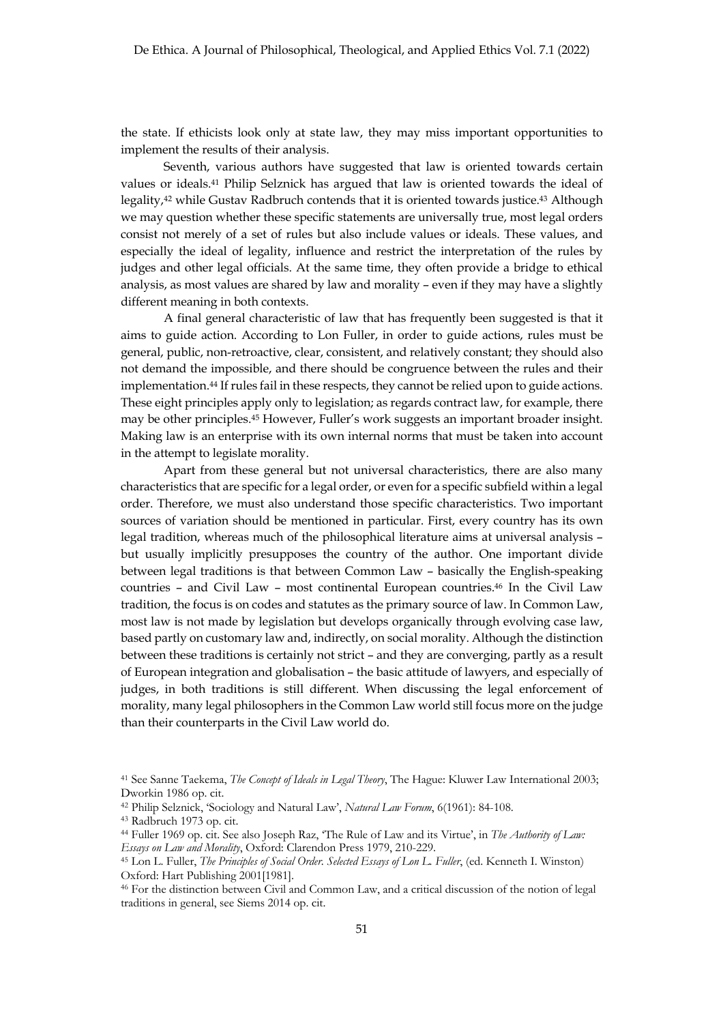the state. If ethicists look only at state law, they may miss important opportunities to implement the results of their analysis.

Seventh, various authors have suggested that law is oriented towards certain values or ideals.41 Philip Selznick has argued that law is oriented towards the ideal of legality,42 while Gustav Radbruch contends that it is oriented towards justice.43 Although we may question whether these specific statements are universally true, most legal orders consist not merely of a set of rules but also include values or ideals. These values, and especially the ideal of legality, influence and restrict the interpretation of the rules by judges and other legal officials. At the same time, they often provide a bridge to ethical analysis, as most values are shared by law and morality – even if they may have a slightly different meaning in both contexts.

A final general characteristic of law that has frequently been suggested is that it aims to guide action. According to Lon Fuller, in order to guide actions, rules must be general, public, non-retroactive, clear, consistent, and relatively constant; they should also not demand the impossible, and there should be congruence between the rules and their implementation.44 If rules fail in these respects, they cannot be relied upon to guide actions. These eight principles apply only to legislation; as regards contract law, for example, there may be other principles.45 However, Fuller's work suggests an important broader insight. Making law is an enterprise with its own internal norms that must be taken into account in the attempt to legislate morality.

Apart from these general but not universal characteristics, there are also many characteristics that are specific for a legal order, or even for a specific subfield within a legal order. Therefore, we must also understand those specific characteristics. Two important sources of variation should be mentioned in particular. First, every country has its own legal tradition, whereas much of the philosophical literature aims at universal analysis – but usually implicitly presupposes the country of the author. One important divide between legal traditions is that between Common Law – basically the English-speaking countries – and Civil Law – most continental European countries.46 In the Civil Law tradition, the focus is on codes and statutes as the primary source of law. In Common Law, most law is not made by legislation but develops organically through evolving case law, based partly on customary law and, indirectly, on social morality. Although the distinction between these traditions is certainly not strict – and they are converging, partly as a result of European integration and globalisation – the basic attitude of lawyers, and especially of judges, in both traditions is still different. When discussing the legal enforcement of morality, many legal philosophers in the Common Law world still focus more on the judge than their counterparts in the Civil Law world do.

<sup>41</sup> See Sanne Taekema, *The Concept of Ideals in Legal Theory*, The Hague: Kluwer Law International 2003; Dworkin 1986 op. cit.

<sup>42</sup> Philip Selznick, 'Sociology and Natural Law', *Natural Law Forum*, 6(1961): 84-108.

<sup>43</sup> Radbruch 1973 op. cit.

<sup>44</sup> Fuller 1969 op. cit. See also Joseph Raz, 'The Rule of Law and its Virtue', in *The Authority of Law: Essays on Law and Morality*, Oxford: Clarendon Press 1979, 210-229.

<sup>45</sup> Lon L. Fuller, *The Principles of Social Order. Selected Essays of Lon L. Fuller*, (ed. Kenneth I. Winston) Oxford: Hart Publishing 2001[1981].

<sup>46</sup> For the distinction between Civil and Common Law, and a critical discussion of the notion of legal traditions in general, see Siems 2014 op. cit.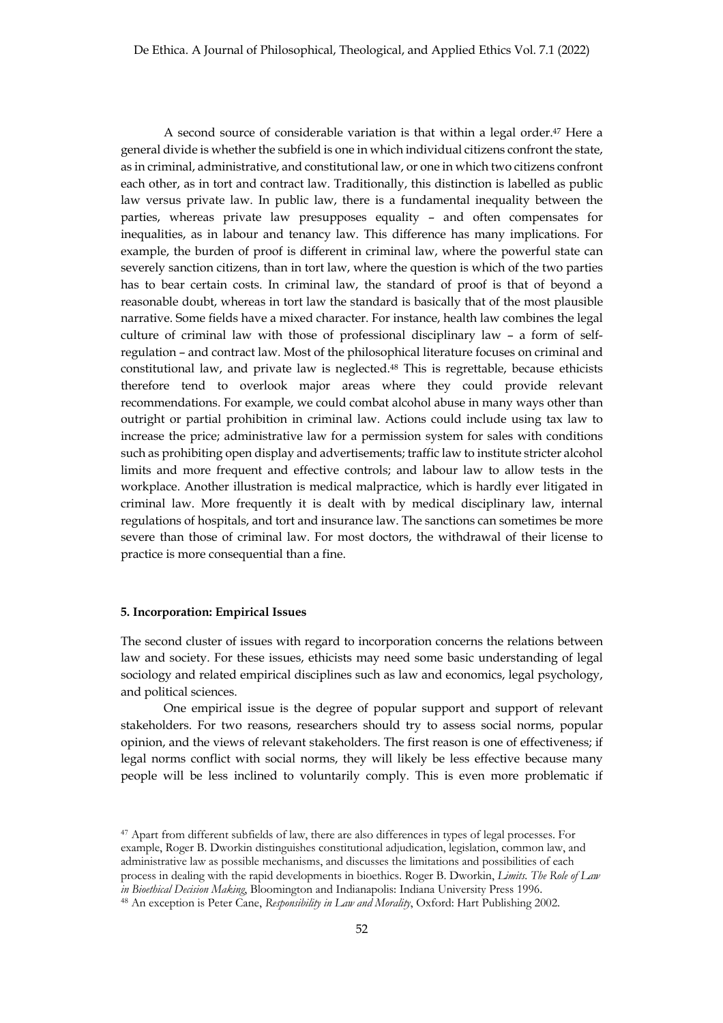A second source of considerable variation is that within a legal order.47 Here a general divide is whether the subfield is one in which individual citizens confront the state, as in criminal, administrative, and constitutional law, or one in which two citizens confront each other, as in tort and contract law. Traditionally, this distinction is labelled as public law versus private law. In public law, there is a fundamental inequality between the parties, whereas private law presupposes equality – and often compensates for inequalities, as in labour and tenancy law. This difference has many implications. For example, the burden of proof is different in criminal law, where the powerful state can severely sanction citizens, than in tort law, where the question is which of the two parties has to bear certain costs. In criminal law, the standard of proof is that of beyond a reasonable doubt, whereas in tort law the standard is basically that of the most plausible narrative. Some fields have a mixed character. For instance, health law combines the legal culture of criminal law with those of professional disciplinary law – a form of selfregulation – and contract law. Most of the philosophical literature focuses on criminal and constitutional law, and private law is neglected.48 This is regrettable, because ethicists therefore tend to overlook major areas where they could provide relevant recommendations. For example, we could combat alcohol abuse in many ways other than outright or partial prohibition in criminal law. Actions could include using tax law to increase the price; administrative law for a permission system for sales with conditions such as prohibiting open display and advertisements; traffic law to institute stricter alcohol limits and more frequent and effective controls; and labour law to allow tests in the workplace. Another illustration is medical malpractice, which is hardly ever litigated in criminal law. More frequently it is dealt with by medical disciplinary law, internal regulations of hospitals, and tort and insurance law. The sanctions can sometimes be more severe than those of criminal law. For most doctors, the withdrawal of their license to practice is more consequential than a fine.

## **5. Incorporation: Empirical Issues**

The second cluster of issues with regard to incorporation concerns the relations between law and society. For these issues, ethicists may need some basic understanding of legal sociology and related empirical disciplines such as law and economics, legal psychology, and political sciences.

One empirical issue is the degree of popular support and support of relevant stakeholders. For two reasons, researchers should try to assess social norms, popular opinion, and the views of relevant stakeholders. The first reason is one of effectiveness; if legal norms conflict with social norms, they will likely be less effective because many people will be less inclined to voluntarily comply. This is even more problematic if

<sup>47</sup> Apart from different subfields of law, there are also differences in types of legal processes. For example, Roger B. Dworkin distinguishes constitutional adjudication, legislation, common law, and administrative law as possible mechanisms, and discusses the limitations and possibilities of each process in dealing with the rapid developments in bioethics. Roger B. Dworkin, *Limits. The Role of Law in Bioethical Decision Making*, Bloomington and Indianapolis: Indiana University Press 1996.

<sup>48</sup> An exception is Peter Cane, *Responsibility in Law and Morality*, Oxford: Hart Publishing 2002.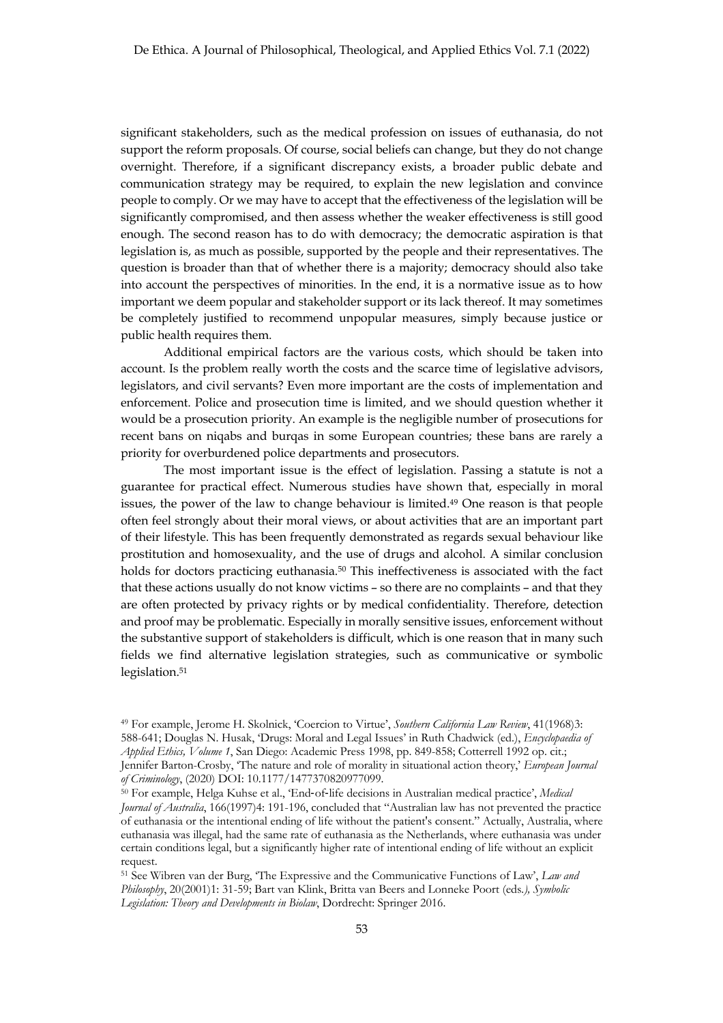significant stakeholders, such as the medical profession on issues of euthanasia, do not support the reform proposals. Of course, social beliefs can change, but they do not change overnight. Therefore, if a significant discrepancy exists, a broader public debate and communication strategy may be required, to explain the new legislation and convince people to comply. Or we may have to accept that the effectiveness of the legislation will be significantly compromised, and then assess whether the weaker effectiveness is still good enough. The second reason has to do with democracy; the democratic aspiration is that legislation is, as much as possible, supported by the people and their representatives. The question is broader than that of whether there is a majority; democracy should also take into account the perspectives of minorities. In the end, it is a normative issue as to how important we deem popular and stakeholder support or its lack thereof. It may sometimes be completely justified to recommend unpopular measures, simply because justice or public health requires them.

Additional empirical factors are the various costs, which should be taken into account. Is the problem really worth the costs and the scarce time of legislative advisors, legislators, and civil servants? Even more important are the costs of implementation and enforcement. Police and prosecution time is limited, and we should question whether it would be a prosecution priority. An example is the negligible number of prosecutions for recent bans on niqabs and burqas in some European countries; these bans are rarely a priority for overburdened police departments and prosecutors.

The most important issue is the effect of legislation. Passing a statute is not a guarantee for practical effect. Numerous studies have shown that, especially in moral issues, the power of the law to change behaviour is limited.49 One reason is that people often feel strongly about their moral views, or about activities that are an important part of their lifestyle. This has been frequently demonstrated as regards sexual behaviour like prostitution and homosexuality, and the use of drugs and alcohol. A similar conclusion holds for doctors practicing euthanasia.<sup>50</sup> This ineffectiveness is associated with the fact that these actions usually do not know victims – so there are no complaints – and that they are often protected by privacy rights or by medical confidentiality. Therefore, detection and proof may be problematic. Especially in morally sensitive issues, enforcement without the substantive support of stakeholders is difficult, which is one reason that in many such fields we find alternative legislation strategies, such as communicative or symbolic legislation.<sup>51</sup>

<sup>49</sup> For example, Jerome H. Skolnick, 'Coercion to Virtue', *Southern California Law Review*, 41(1968)3: 588-641; Douglas N. Husak, 'Drugs: Moral and Legal Issues' in Ruth Chadwick (ed.), *Encyclopaedia of Applied Ethics, Volume 1*, San Diego: Academic Press 1998, pp. 849-858; Cotterrell 1992 op. cit.; Jennifer Barton-Crosby, 'The nature and role of morality in situational action theory,' *European Journal of Criminology*, (2020) DOI: 10.1177/1477370820977099.

<sup>50</sup> For example, Helga Kuhse et al., 'End-of-life decisions in Australian medical practice', *Medical Journal of Australia*, 166(1997)4: 191-196, concluded that "Australian law has not prevented the practice of euthanasia or the intentional ending of life without the patient's consent." Actually, Australia, where euthanasia was illegal, had the same rate of euthanasia as the Netherlands, where euthanasia was under certain conditions legal, but a significantly higher rate of intentional ending of life without an explicit request.

<sup>51</sup> See Wibren van der Burg, 'The Expressive and the Communicative Functions of Law', *Law and Philosophy*, 20(2001)1: 31-59; Bart van Klink, Britta van Beers and Lonneke Poort (eds*.), Symbolic Legislation: Theory and Developments in Biolaw*, Dordrecht: Springer 2016.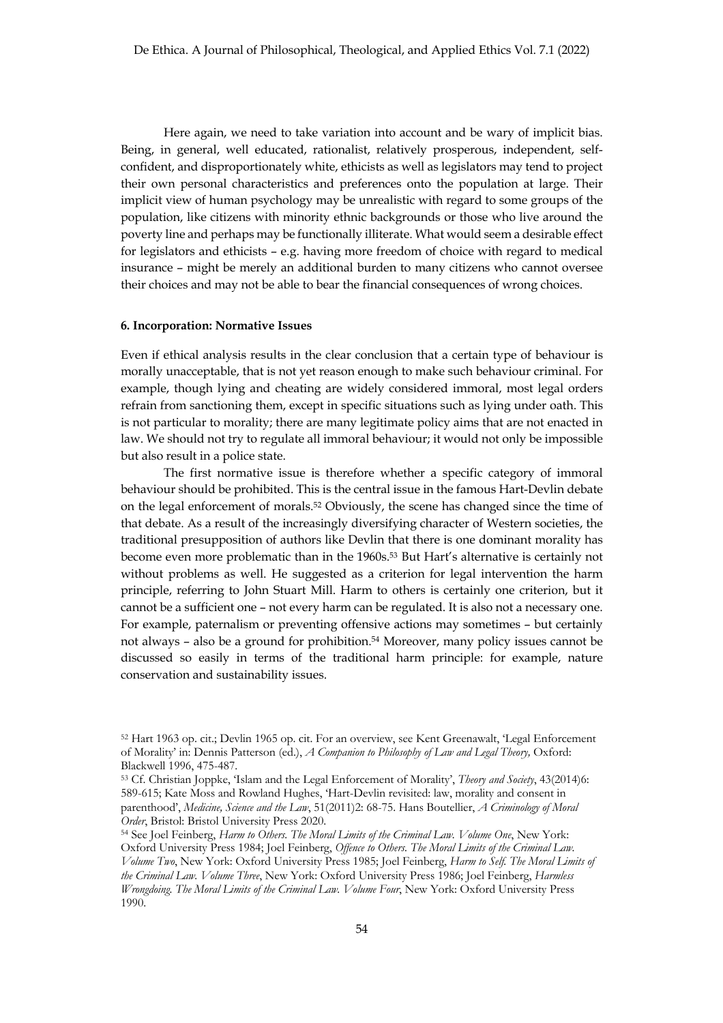Here again, we need to take variation into account and be wary of implicit bias. Being, in general, well educated, rationalist, relatively prosperous, independent, selfconfident, and disproportionately white, ethicists as well as legislators may tend to project their own personal characteristics and preferences onto the population at large. Their implicit view of human psychology may be unrealistic with regard to some groups of the population, like citizens with minority ethnic backgrounds or those who live around the poverty line and perhaps may be functionally illiterate. What would seem a desirable effect for legislators and ethicists – e.g. having more freedom of choice with regard to medical insurance – might be merely an additional burden to many citizens who cannot oversee their choices and may not be able to bear the financial consequences of wrong choices.

#### **6. Incorporation: Normative Issues**

Even if ethical analysis results in the clear conclusion that a certain type of behaviour is morally unacceptable, that is not yet reason enough to make such behaviour criminal. For example, though lying and cheating are widely considered immoral, most legal orders refrain from sanctioning them, except in specific situations such as lying under oath. This is not particular to morality; there are many legitimate policy aims that are not enacted in law. We should not try to regulate all immoral behaviour; it would not only be impossible but also result in a police state.

The first normative issue is therefore whether a specific category of immoral behaviour should be prohibited. This is the central issue in the famous Hart-Devlin debate on the legal enforcement of morals.52 Obviously, the scene has changed since the time of that debate. As a result of the increasingly diversifying character of Western societies, the traditional presupposition of authors like Devlin that there is one dominant morality has become even more problematic than in the 1960s.53 But Hart's alternative is certainly not without problems as well. He suggested as a criterion for legal intervention the harm principle, referring to John Stuart Mill. Harm to others is certainly one criterion, but it cannot be a sufficient one – not every harm can be regulated. It is also not a necessary one. For example, paternalism or preventing offensive actions may sometimes – but certainly not always – also be a ground for prohibition.54 Moreover, many policy issues cannot be discussed so easily in terms of the traditional harm principle: for example, nature conservation and sustainability issues.

<sup>52</sup> Hart 1963 op. cit.; Devlin 1965 op. cit. For an overview, see Kent Greenawalt, 'Legal Enforcement of Morality' in: Dennis Patterson (ed.), *A Companion to Philosophy of Law and Legal Theory,* Oxford: Blackwell 1996, 475-487.

<sup>53</sup> Cf. Christian Joppke, 'Islam and the Legal Enforcement of Morality', *Theory and Society*, 43(2014)6: 589-615; Kate Moss and Rowland Hughes, 'Hart-Devlin revisited: law, morality and consent in parenthood', *Medicine, Science and the Law*, 51(2011)2: 68-75. Hans Boutellier, *A Criminology of Moral Order*, Bristol: Bristol University Press 2020.

<sup>54</sup> See Joel Feinberg, *Harm to Others. The Moral Limits of the Criminal Law. Volume One*, New York: Oxford University Press 1984; Joel Feinberg, *Offence to Others. The Moral Limits of the Criminal Law. Volume Two*, New York: Oxford University Press 1985; Joel Feinberg, *Harm to Self. The Moral Limits of the Criminal Law. Volume Three*, New York: Oxford University Press 1986; Joel Feinberg, *Harmless Wrongdoing. The Moral Limits of the Criminal Law. Volume Four*, New York: Oxford University Press 1990.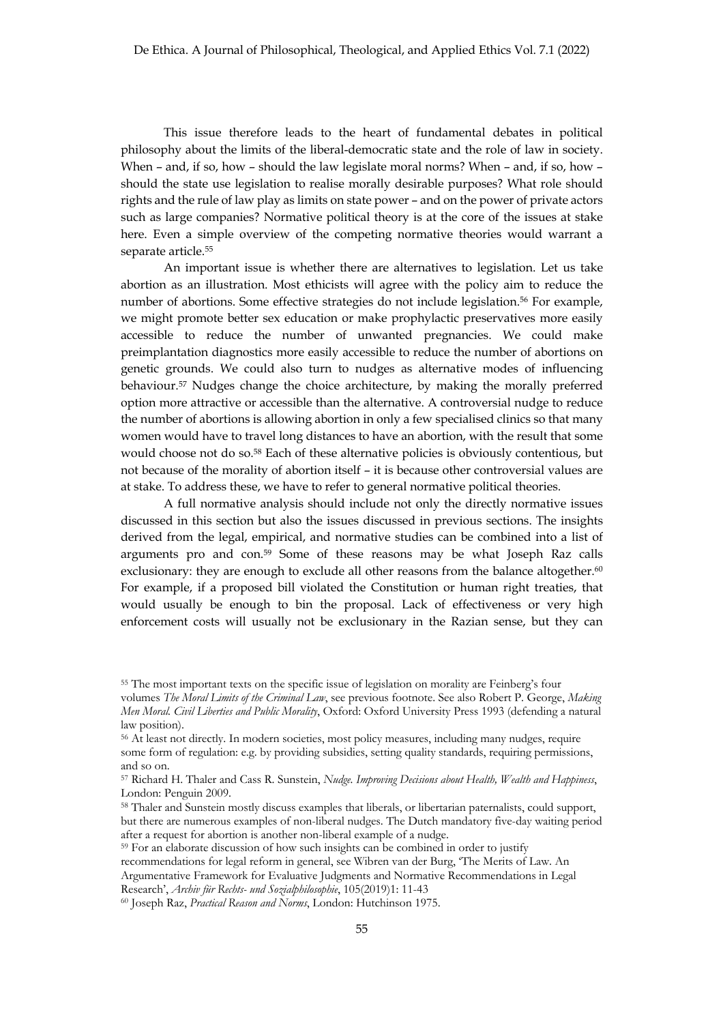This issue therefore leads to the heart of fundamental debates in political philosophy about the limits of the liberal-democratic state and the role of law in society. When – and, if so, how – should the law legislate moral norms? When – and, if so, how – should the state use legislation to realise morally desirable purposes? What role should rights and the rule of law play as limits on state power – and on the power of private actors such as large companies? Normative political theory is at the core of the issues at stake here. Even a simple overview of the competing normative theories would warrant a separate article.<sup>55</sup>

An important issue is whether there are alternatives to legislation. Let us take abortion as an illustration. Most ethicists will agree with the policy aim to reduce the number of abortions. Some effective strategies do not include legislation.<sup>56</sup> For example, we might promote better sex education or make prophylactic preservatives more easily accessible to reduce the number of unwanted pregnancies. We could make preimplantation diagnostics more easily accessible to reduce the number of abortions on genetic grounds. We could also turn to nudges as alternative modes of influencing behaviour.57 Nudges change the choice architecture, by making the morally preferred option more attractive or accessible than the alternative. A controversial nudge to reduce the number of abortions is allowing abortion in only a few specialised clinics so that many women would have to travel long distances to have an abortion, with the result that some would choose not do so.58 Each of these alternative policies is obviously contentious, but not because of the morality of abortion itself – it is because other controversial values are at stake. To address these, we have to refer to general normative political theories.

A full normative analysis should include not only the directly normative issues discussed in this section but also the issues discussed in previous sections. The insights derived from the legal, empirical, and normative studies can be combined into a list of arguments pro and con.59 Some of these reasons may be what Joseph Raz calls exclusionary: they are enough to exclude all other reasons from the balance altogether.<sup>60</sup> For example, if a proposed bill violated the Constitution or human right treaties, that would usually be enough to bin the proposal. Lack of effectiveness or very high enforcement costs will usually not be exclusionary in the Razian sense, but they can

<sup>55</sup> The most important texts on the specific issue of legislation on morality are Feinberg's four

volumes *The Moral Limits of the Criminal Law*, see previous footnote. See also Robert P. George, *Making Men Moral. Civil Liberties and Public Morality*, Oxford: Oxford University Press 1993 (defending a natural law position).

<sup>56</sup> At least not directly. In modern societies, most policy measures, including many nudges, require some form of regulation: e.g. by providing subsidies, setting quality standards, requiring permissions, and so on.

<sup>57</sup> Richard H. Thaler and Cass R. Sunstein, *Nudge. Improving Decisions about Health, Wealth and Happiness*, London: Penguin 2009.

<sup>58</sup> Thaler and Sunstein mostly discuss examples that liberals, or libertarian paternalists, could support, but there are numerous examples of non-liberal nudges. The Dutch mandatory five-day waiting period after a request for abortion is another non-liberal example of a nudge.

<sup>&</sup>lt;sup>59</sup> For an elaborate discussion of how such insights can be combined in order to justify recommendations for legal reform in general, see Wibren van der Burg, 'The Merits of Law. An Argumentative Framework for Evaluative Judgments and Normative Recommendations in Legal Research', *Archiv für Rechts- und Sozialphilosophie*, 105(2019)1: 11-43

<sup>60</sup> Joseph Raz, *Practical Reason and Norms*, London: Hutchinson 1975.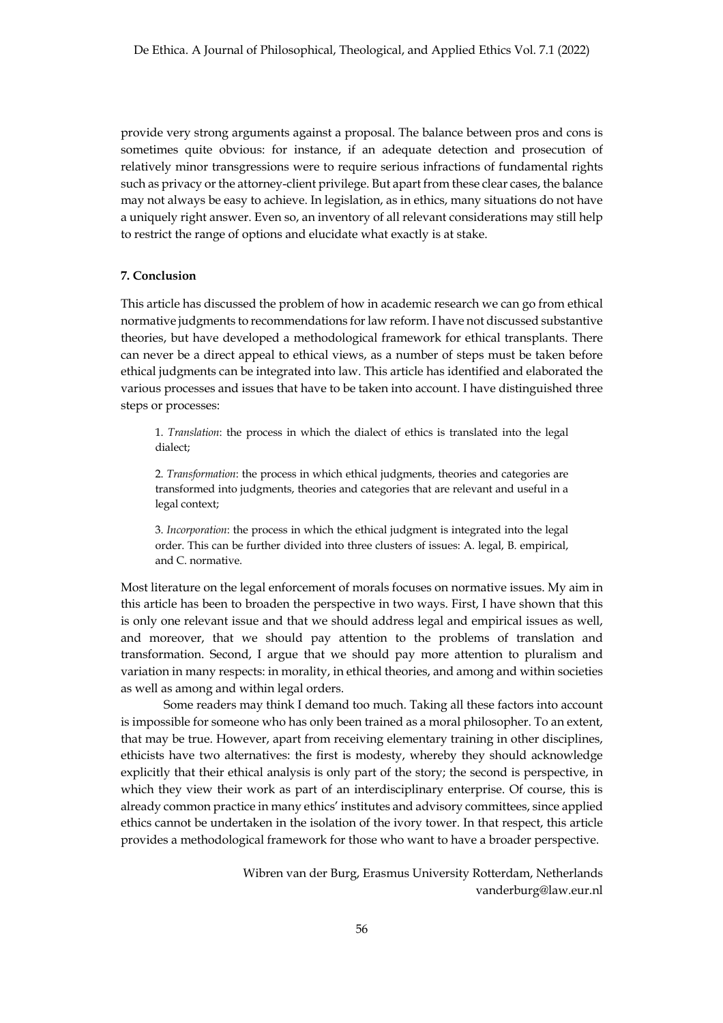provide very strong arguments against a proposal. The balance between pros and cons is sometimes quite obvious: for instance, if an adequate detection and prosecution of relatively minor transgressions were to require serious infractions of fundamental rights such as privacy or the attorney-client privilege. But apart from these clear cases, the balance may not always be easy to achieve. In legislation, as in ethics, many situations do not have a uniquely right answer. Even so, an inventory of all relevant considerations may still help to restrict the range of options and elucidate what exactly is at stake.

#### **7. Conclusion**

This article has discussed the problem of how in academic research we can go from ethical normative judgments to recommendations for law reform. I have not discussed substantive theories, but have developed a methodological framework for ethical transplants. There can never be a direct appeal to ethical views, as a number of steps must be taken before ethical judgments can be integrated into law. This article has identified and elaborated the various processes and issues that have to be taken into account. I have distinguished three steps or processes:

1. *Translation*: the process in which the dialect of ethics is translated into the legal dialect;

2. *Transformation*: the process in which ethical judgments, theories and categories are transformed into judgments, theories and categories that are relevant and useful in a legal context;

3. *Incorporation*: the process in which the ethical judgment is integrated into the legal order. This can be further divided into three clusters of issues: A. legal, B. empirical, and C. normative.

Most literature on the legal enforcement of morals focuses on normative issues. My aim in this article has been to broaden the perspective in two ways. First, I have shown that this is only one relevant issue and that we should address legal and empirical issues as well, and moreover, that we should pay attention to the problems of translation and transformation. Second, I argue that we should pay more attention to pluralism and variation in many respects: in morality, in ethical theories, and among and within societies as well as among and within legal orders.

Some readers may think I demand too much. Taking all these factors into account is impossible for someone who has only been trained as a moral philosopher. To an extent, that may be true. However, apart from receiving elementary training in other disciplines, ethicists have two alternatives: the first is modesty, whereby they should acknowledge explicitly that their ethical analysis is only part of the story; the second is perspective, in which they view their work as part of an interdisciplinary enterprise. Of course, this is already common practice in many ethics' institutes and advisory committees, since applied ethics cannot be undertaken in the isolation of the ivory tower. In that respect, this article provides a methodological framework for those who want to have a broader perspective.

> Wibren van der Burg, Erasmus University Rotterdam, Netherlands vanderburg@law.eur.nl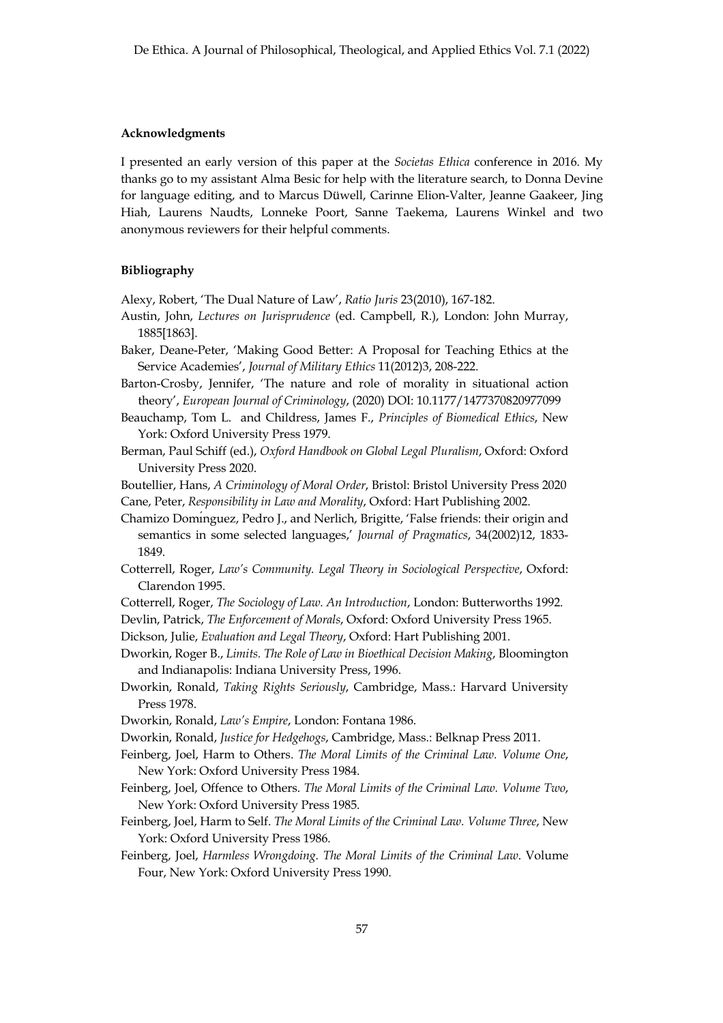#### **Acknowledgments**

I presented an early version of this paper at the *Societas Ethica* conference in 2016. My thanks go to my assistant Alma Besic for help with the literature search, to Donna Devine for language editing, and to Marcus Düwell, Carinne Elion-Valter, Jeanne Gaakeer, Jing Hiah, Laurens Naudts, Lonneke Poort, Sanne Taekema, Laurens Winkel and two anonymous reviewers for their helpful comments.

## **Bibliography**

Alexy, Robert, 'The Dual Nature of Law', *Ratio Juris* 23(2010), 167-182.

- Austin, John, *Lectures on Jurisprudence* (ed. Campbell, R.), London: John Murray, 1885[1863].
- Baker, Deane-Peter, 'Making Good Better: A Proposal for Teaching Ethics at the Service Academies', *Journal of Military Ethics* 11(2012)3, 208-222.
- Barton-Crosby, Jennifer, 'The nature and role of morality in situational action theory', *European Journal of Criminology*, (2020) DOI: 10.1177/1477370820977099
- Beauchamp, Tom L. and Childress, James F., *Principles of Biomedical Ethics*, New York: Oxford University Press 1979.
- Berman, Paul Schiff (ed.), *Oxford Handbook on Global Legal Pluralism*, Oxford: Oxford University Press 2020.
- Boutellier, Hans, *A Criminology of Moral Order*, Bristol: Bristol University Press 2020 Cane, Peter, *Responsibility in Law and Morality*, Oxford: Hart Publishing 2002.
- Chamizo Domı́nguez, Pedro J., and Nerlich, Brigitte, 'False friends: their origin and semantics in some selected languages,' *Journal of Pragmatics*, 34(2002)12, 1833- 1849.
- Cotterrell, Roger, *Law's Community. Legal Theory in Sociological Perspective*, Oxford: Clarendon 1995.
- Cotterrell, Roger, *The Sociology of Law. An Introduction*, London: Butterworths 1992.
- Devlin, Patrick, *The Enforcement of Morals*, Oxford: Oxford University Press 1965.
- Dickson, Julie, *Evaluation and Legal Theory*, Oxford: Hart Publishing 2001.
- Dworkin, Roger B., *Limits. The Role of Law in Bioethical Decision Making*, Bloomington and Indianapolis: Indiana University Press, 1996.
- Dworkin, Ronald, *Taking Rights Seriously*, Cambridge, Mass.: Harvard University Press 1978.
- Dworkin, Ronald, *Law's Empire*, London: Fontana 1986.
- Dworkin, Ronald, *Justice for Hedgehogs*, Cambridge, Mass.: Belknap Press 2011.
- Feinberg, Joel, Harm to Others. *The Moral Limits of the Criminal Law. Volume One*, New York: Oxford University Press 1984.
- Feinberg, Joel, Offence to Others. *The Moral Limits of the Criminal Law. Volume Two*, New York: Oxford University Press 1985.
- Feinberg, Joel, Harm to Self. *The Moral Limits of the Criminal Law. Volume Three*, New York: Oxford University Press 1986.
- Feinberg, Joel, *Harmless Wrongdoing. The Moral Limits of the Criminal Law*. Volume Four, New York: Oxford University Press 1990.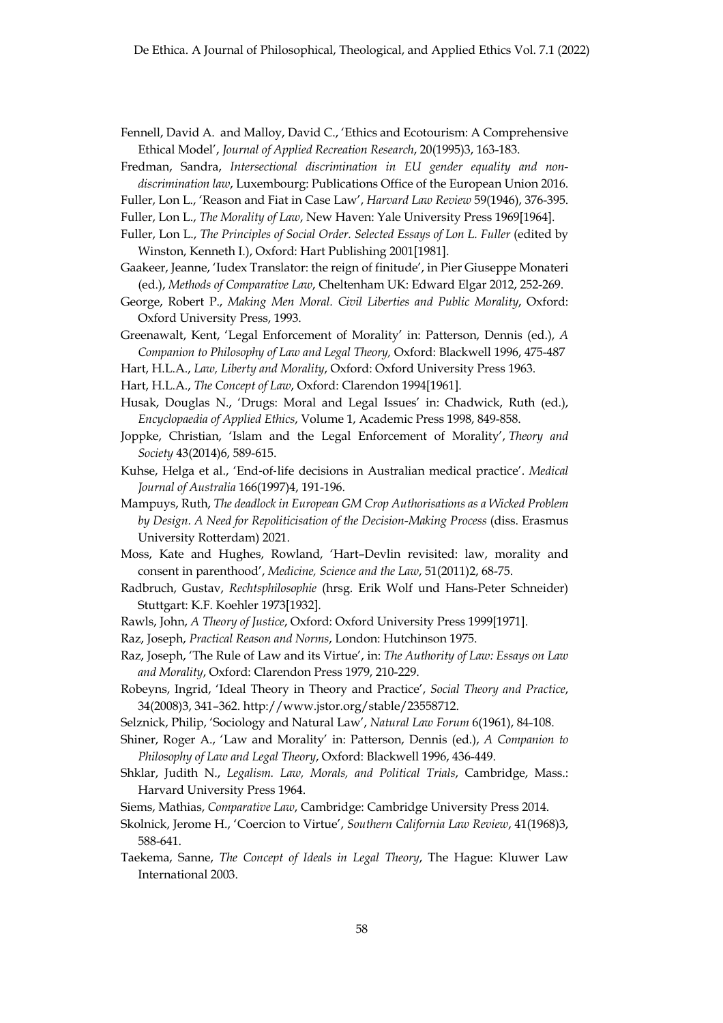- Fennell, David A. and Malloy, David C., 'Ethics and Ecotourism: A Comprehensive Ethical Model', *Journal of Applied Recreation Research*, 20(1995)3, 163-183.
- Fredman, Sandra, *Intersectional discrimination in EU gender equality and nondiscrimination law*, Luxembourg: Publications Office of the European Union 2016.
- Fuller, Lon L., 'Reason and Fiat in Case Law', *Harvard Law Review* 59(1946), 376-395.
- Fuller, Lon L., *The Morality of Law*, New Haven: Yale University Press 1969[1964].
- Fuller, Lon L., *The Principles of Social Order. Selected Essays of Lon L. Fuller* (edited by Winston, Kenneth I.), Oxford: Hart Publishing 2001[1981].
- Gaakeer, Jeanne, 'Iudex Translator: the reign of finitude', in Pier Giuseppe Monateri (ed.), *Methods of Comparative Law*, Cheltenham UK: Edward Elgar 2012, 252-269.
- George, Robert P., *Making Men Moral. Civil Liberties and Public Morality*, Oxford: Oxford University Press, 1993.
- Greenawalt, Kent, 'Legal Enforcement of Morality' in: Patterson, Dennis (ed.), *A Companion to Philosophy of Law and Legal Theory,* Oxford: Blackwell 1996, 475-487
- Hart, H.L.A., *Law, Liberty and Morality*, Oxford: Oxford University Press 1963.
- Hart, H.L.A., *The Concept of Law*, Oxford: Clarendon 1994[1961].
- Husak, Douglas N., 'Drugs: Moral and Legal Issues' in: Chadwick, Ruth (ed.), *Encyclopaedia of Applied Ethics*, Volume 1, Academic Press 1998, 849-858.
- Joppke, Christian, 'Islam and the Legal Enforcement of Morality', *Theory and Society* 43(2014)6, 589-615.
- Kuhse, Helga et al., 'End-of-life decisions in Australian medical practice'. *Medical Journal of Australia* 166(1997)4, 191-196.
- Mampuys, Ruth, *The deadlock in European GM Crop Authorisations as a Wicked Problem by Design. A Need for Repoliticisation of the Decision-Making Process* (diss. Erasmus University Rotterdam) 2021.
- Moss, Kate and Hughes, Rowland, 'Hart–Devlin revisited: law, morality and consent in parenthood', *Medicine, Science and the Law*, 51(2011)2, 68-75.
- Radbruch, Gustav, *Rechtsphilosophie* (hrsg. Erik Wolf und Hans-Peter Schneider) Stuttgart: K.F. Koehler 1973[1932].
- Rawls, John, *A Theory of Justice*, Oxford: Oxford University Press 1999[1971].
- Raz, Joseph, *Practical Reason and Norms*, London: Hutchinson 1975.
- Raz, Joseph, 'The Rule of Law and its Virtue', in: *The Authority of Law: Essays on Law and Morality*, Oxford: Clarendon Press 1979, 210-229.
- Robeyns, Ingrid, 'Ideal Theory in Theory and Practice', *Social Theory and Practice*, 34(2008)3, 341–362. http://www.jstor.org/stable/23558712.
- Selznick, Philip, 'Sociology and Natural Law', *Natural Law Forum* 6(1961), 84-108.
- Shiner, Roger A., 'Law and Morality' in: Patterson, Dennis (ed.), *A Companion to Philosophy of Law and Legal Theory*, Oxford: Blackwell 1996, 436-449.
- Shklar, Judith N., *Legalism. Law, Morals, and Political Trials*, Cambridge, Mass.: Harvard University Press 1964.
- Siems, Mathias, *Comparative Law*, Cambridge: Cambridge University Press 2014.
- Skolnick, Jerome H., 'Coercion to Virtue', *Southern California Law Review*, 41(1968)3, 588-641.
- Taekema, Sanne, *The Concept of Ideals in Legal Theory*, The Hague: Kluwer Law International 2003.